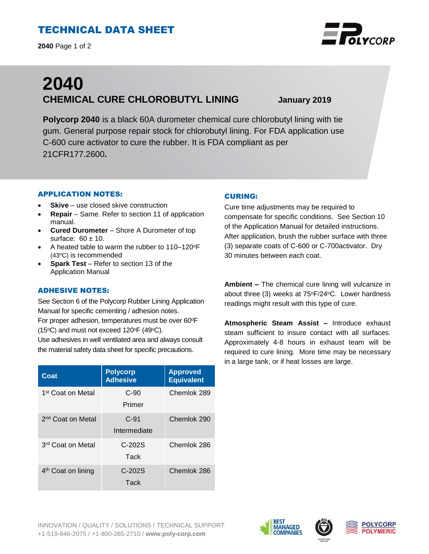# TECHNICAL DATA SHEET

**2040** Page 1 of 2



# **2040 CHEMICAL CURE CHLOROBUTYL LINING January 2019**

**Polycorp 2040** is a black 60A durometer chemical cure chlorobutyl lining with tie gum. General purpose repair stock for chlorobutyl lining. For FDA application use C-600 cure activator to cure the rubber. It is FDA compliant as per 21CFR177.2600**.**

#### APPLICATION NOTES:

- **Skive** use closed skive construction
- **Repair**  Same. Refer to section 11 of application manual.
- **Cured Durometer**  Shore A Durometer of top surface:  $60 \pm 10$ .
- A heated table to warm the rubber to 110-120°F (43<sup>o</sup>C) is recommended
- **Spark Test** Refer to section 13 of the Application Manual

## ADHESIVE NOTES:

See Section 6 of the Polycorp Rubber Lining Application Manual for specific cementing / adhesion notes. For proper adhesion, temperatures must be over 60°F

(15 $\textdegree$ C) and must not exceed 120 $\textdegree$ F (49 $\textdegree$ C).

Use adhesives in well ventilated area and always consult the material safety data sheet for specific precautions.

| Coat                           | <b>Polycorp</b><br><b>Adhesive</b> | <b>Approved</b><br><b>Equivalent</b> |
|--------------------------------|------------------------------------|--------------------------------------|
| 1 <sup>st</sup> Coat on Metal  | $C-90$<br>Primer                   | Chemlok 289                          |
| 2 <sup>nd</sup> Coat on Metal  | $C-91$<br>Intermediate             | Chemlok 290                          |
| 3 <sup>rd</sup> Coat on Metal  | $C-202S$<br>Tack                   | Chemlok 286                          |
| 4 <sup>th</sup> Coat on lining | $C-202S$<br>Tack                   | Chemlok 286                          |

#### CURING:

Cure time adjustments may be required to compensate for specific conditions. See Section 10 of the Application Manual for detailed instructions. After application, brush the rubber surface with three (3) separate coats of C-600 or C-700activator. Dry 30 minutes between each coat.

**Ambient –** The chemical cure lining will vulcanize in about three (3) weeks at  $75^{\circ}F/24^{\circ}C$ . Lower hardness readings might result with this type of cure.

**Atmospheric Steam Assist –** Introduce exhaust steam sufficient to insure contact with all surfaces. Approximately 4-8 hours in exhaust team will be required to cure lining. More time may be necessary in a large tank, or if heat losses are large.